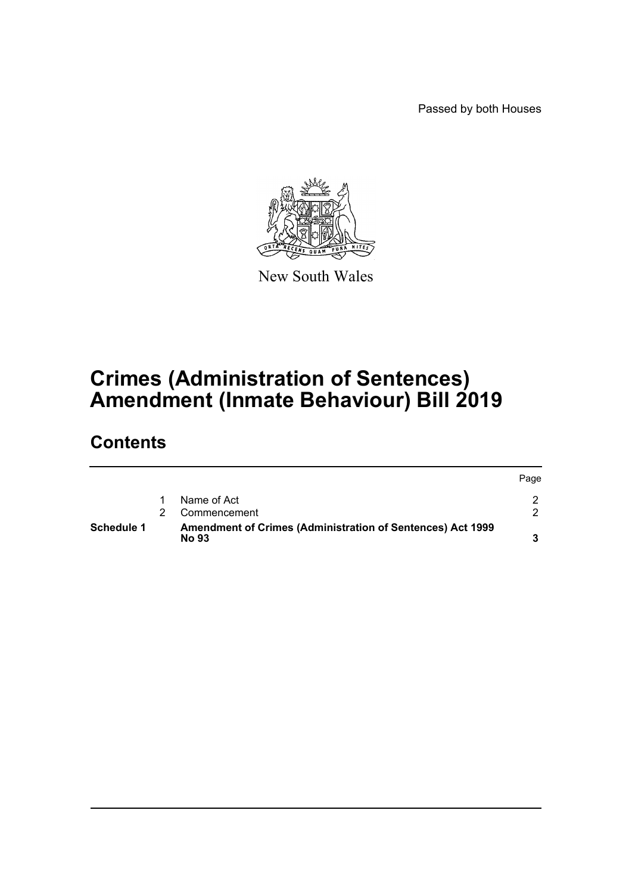Passed by both Houses



New South Wales

## **Crimes (Administration of Sentences) Amendment (Inmate Behaviour) Bill 2019**

### **Contents**

| <b>Schedule 1</b> | Amendment of Crimes (Administration of Sentences) Act 1999<br><b>No 93</b> |      |
|-------------------|----------------------------------------------------------------------------|------|
|                   | Commencement                                                               |      |
|                   | Name of Act                                                                |      |
|                   |                                                                            | Page |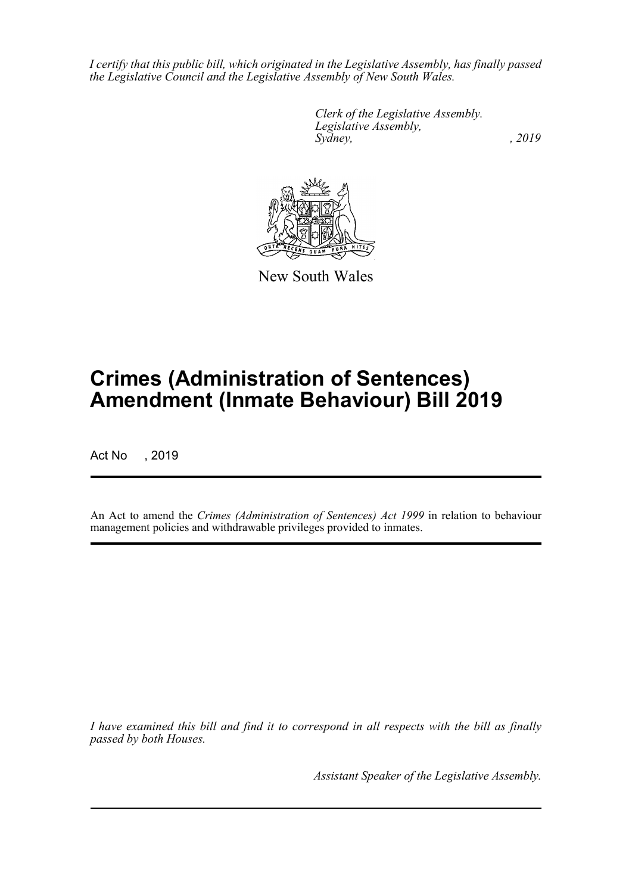*I certify that this public bill, which originated in the Legislative Assembly, has finally passed the Legislative Council and the Legislative Assembly of New South Wales.*

> *Clerk of the Legislative Assembly. Legislative Assembly, Sydney,* , 2019



New South Wales

# **Crimes (Administration of Sentences) Amendment (Inmate Behaviour) Bill 2019**

Act No , 2019

An Act to amend the *Crimes (Administration of Sentences) Act 1999* in relation to behaviour management policies and withdrawable privileges provided to inmates.

*I have examined this bill and find it to correspond in all respects with the bill as finally passed by both Houses.*

*Assistant Speaker of the Legislative Assembly.*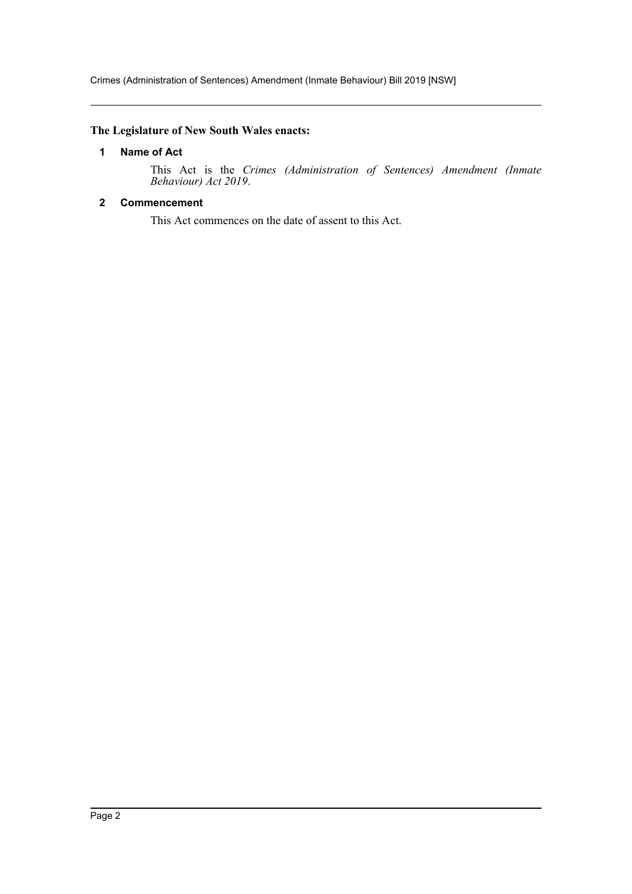#### <span id="page-2-0"></span>**The Legislature of New South Wales enacts:**

#### **1 Name of Act**

This Act is the *Crimes (Administration of Sentences) Amendment (Inmate Behaviour) Act 2019*.

#### <span id="page-2-1"></span>**2 Commencement**

This Act commences on the date of assent to this Act.